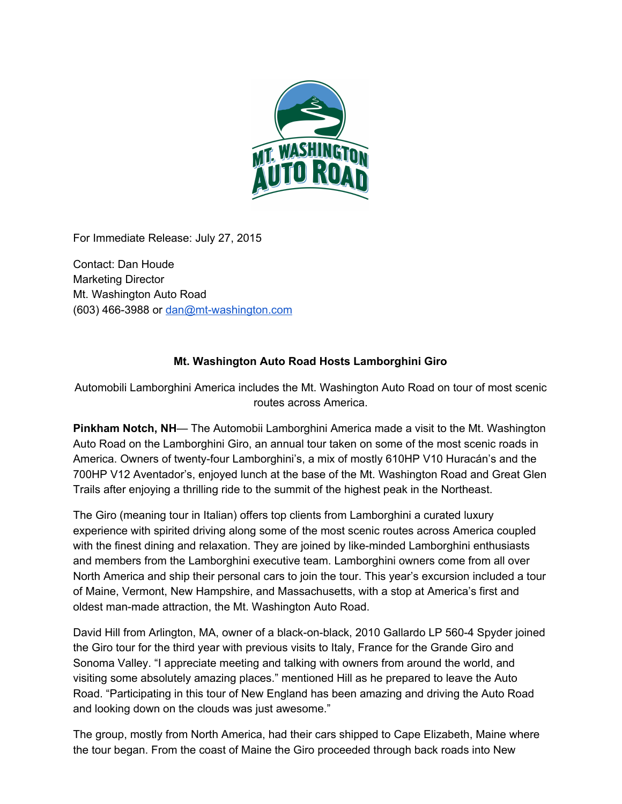

For Immediate Release: July 27, 2015

Contact: Dan Houde Marketing Director Mt. Washington Auto Road  $(603)$  466-3988 or dan@mt-washington.com

## **Mt. Washington Auto Road Hosts Lamborghini Giro**

Automobili Lamborghini America includes the Mt. Washington Auto Road on tour of most scenic routes across America.

**Pinkham Notch, NH**— The Automobii Lamborghini America made a visit to the Mt. Washington Auto Road on the Lamborghini Giro, an annual tour taken on some of the most scenic roads in America. Owners of twenty-four Lamborghini's, a mix of mostly 610HP V10 Huracán's and the 700HP V12 Aventador's, enjoyed lunch at the base of the Mt. Washington Road and Great Glen Trails after enjoying a thrilling ride to the summit of the highest peak in the Northeast.

The Giro (meaning tour in Italian) offers top clients from Lamborghini a curated luxury experience with spirited driving along some of the most scenic routes across America coupled with the finest dining and relaxation. They are joined by like-minded Lamborghini enthusiasts and members from the Lamborghini executive team. Lamborghini owners come from all over North America and ship their personal cars to join the tour. This year's excursion included a tour of Maine, Vermont, New Hampshire, and Massachusetts, with a stop at America's first and oldest man-made attraction, the Mt. Washington Auto Road.

David Hill from Arlington, MA, owner of a black-on-black, 2010 Gallardo LP 560-4 Spyder joined the Giro tour for the third year with previous visits to Italy, France for the Grande Giro and Sonoma Valley. "I appreciate meeting and talking with owners from around the world, and visiting some absolutely amazing places." mentioned Hill as he prepared to leave the Auto Road. "Participating in this tour of New England has been amazing and driving the Auto Road and looking down on the clouds was just awesome."

The group, mostly from North America, had their cars shipped to Cape Elizabeth, Maine where the tour began. From the coast of Maine the Giro proceeded through back roads into New